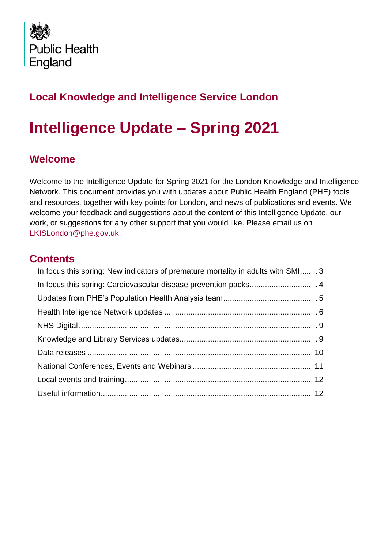

# **Local Knowledge and Intelligence Service London**

# **Intelligence Update – Spring 2021**

# **Welcome**

Welcome to the Intelligence Update for Spring 2021 for the London Knowledge and Intelligence Network. This document provides you with updates about Public Health England (PHE) tools and resources, together with key points for London, and news of publications and events. We welcome your feedback and suggestions about the content of this Intelligence Update, our work, or suggestions for any other support that you would like. Please email us on [LKISLondon@phe.gov.uk](mailto:LKISLondon@phe.gov.uk)

# **Contents**

| In focus this spring: New indicators of premature mortality in adults with SMI 3 |  |
|----------------------------------------------------------------------------------|--|
|                                                                                  |  |
|                                                                                  |  |
|                                                                                  |  |
|                                                                                  |  |
|                                                                                  |  |
|                                                                                  |  |
|                                                                                  |  |
|                                                                                  |  |
|                                                                                  |  |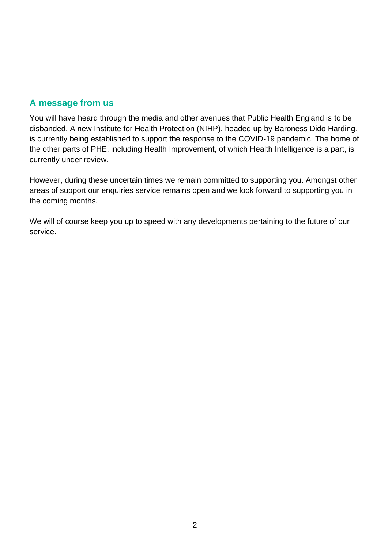# **A message from us**

You will have heard through the media and other avenues that Public Health England is to be disbanded. A new Institute for Health Protection (NIHP), headed up by Baroness Dido Harding, is currently being established to support the response to the COVID-19 pandemic. The home of the other parts of PHE, including Health Improvement, of which Health Intelligence is a part, is currently under review.

However, during these uncertain times we remain committed to supporting you. Amongst other areas of support our enquiries service remains open and we look forward to supporting you in the coming months.

We will of course keep you up to speed with any developments pertaining to the future of our service.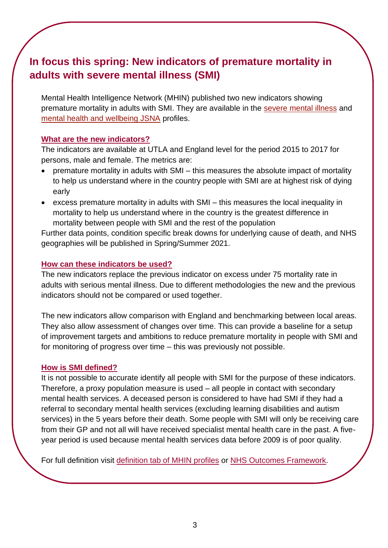# <span id="page-2-0"></span>**In focus this spring: New indicators of premature mortality in adults with severe mental illness (SMI)**

Mental Health Intelligence Network (MHIN) published two new indicators showing premature mortality in adults with SMI. They are available in the [severe mental illness](https://eur01.safelinks.protection.outlook.com/?url=https%3A%2F%2Flnks.gd%2Fl%2FeyJhbGciOiJIUzI1NiJ9.eyJidWxsZXRpbl9saW5rX2lkIjoxMDAsInVyaSI6ImJwMjpjbGljayIsImJ1bGxldGluX2lkIjoiMjAyMDEyMDMuMzE0OTY3MzEiLCJ1cmwiOiJodHRwczovL2ZpbmdlcnRpcHMucGhlLm9yZy51ay9wcm9maWxlLWdyb3VwL21lbnRhbC1oZWFsdGgvcHJvZmlsZS9zZXZlcmUtbWVudGFsLWlsbG5lc3MvZGF0YSNwYWdlLzAvZ2lkLzgwMDAwMzkvcGF0LzYvcGFyL0UxMjAwMDAwNC9hdGkvMTAyL2FyZS9FMDYwMDAwMTUvY2lkLzQvcGFnZS1vcHRpb25zL292dy1kby0wIn0.v5Kw16HGJsokyJbjsZXyv5VLPdHMTojnBRdoTb5So00%2Fs%2F746392139%2Fbr%2F90986388664-l&data=04%7C01%7CGabriele.Price%40phe.gov.uk%7C45bd1f3604664860bbab08d8979b33f8%7Cee4e14994a354b2ead475f3cf9de8666%7C0%7C1%7C637426041157996729%7CUnknown%7CTWFpbGZsb3d8eyJWIjoiMC4wLjAwMDAiLCJQIjoiV2luMzIiLCJBTiI6Ik1haWwiLCJXVCI6Mn0%3D%7C2000&sdata=KPEauDXzUmagNS6TsWYvHEcruiP1KIxoH65hPLJ0XXo%3D&reserved=0) and [mental health and wellbeing JSNA](https://eur01.safelinks.protection.outlook.com/?url=https%3A%2F%2Flnks.gd%2Fl%2FeyJhbGciOiJIUzI1NiJ9.eyJidWxsZXRpbl9saW5rX2lkIjoxMDEsInVyaSI6ImJwMjpjbGljayIsImJ1bGxldGluX2lkIjoiMjAyMDEyMDMuMzE0OTY3MzEiLCJ1cmwiOiJodHRwczovL2ZpbmdlcnRpcHMucGhlLm9yZy51ay9wcm9maWxlLWdyb3VwL21lbnRhbC1oZWFsdGgvcHJvZmlsZS9taC1qc25hL2RhdGEifQ.Hd4T2eXsKWMfGWO6mb9i8EHqkK4R0Q23CpZasoPjtMU%2Fs%2F746392139%2Fbr%2F90986388664-l&data=04%7C01%7CGabriele.Price%40phe.gov.uk%7C45bd1f3604664860bbab08d8979b33f8%7Cee4e14994a354b2ead475f3cf9de8666%7C0%7C1%7C637426041158006725%7CUnknown%7CTWFpbGZsb3d8eyJWIjoiMC4wLjAwMDAiLCJQIjoiV2luMzIiLCJBTiI6Ik1haWwiLCJXVCI6Mn0%3D%7C2000&sdata=LS90BixryiqLDxJxvpW7eKzAaDD6js6CvmjeODJZtZs%3D&reserved=0) profiles.

### **What are the new indicators?**

The indicators are available at UTLA and England level for the period 2015 to 2017 for persons, male and female. The metrics are:

- premature mortality in adults with SMI this measures the absolute impact of mortality to help us understand where in the country people with SMI are at highest risk of dying early
- excess premature mortality in adults with SMI this measures the local inequality in mortality to help us understand where in the country is the greatest difference in mortality between people with SMI and the rest of the population

Further data points, condition specific break downs for underlying cause of death, and NHS geographies will be published in Spring/Summer 2021.

### **How can these indicators be used?**

The new indicators replace the previous indicator on excess under 75 mortality rate in adults with serious mental illness. Due to different methodologies the new and the previous indicators should not be compared or used together.

The new indicators allow comparison with England and benchmarking between local areas. They also allow assessment of changes over time. This can provide a baseline for a setup of improvement targets and ambitions to reduce premature mortality in people with SMI and for monitoring of progress over time – this was previously not possible.

### **How is SMI defined?**

It is not possible to accurate identify all people with SMI for the purpose of these indicators. Therefore, a proxy population measure is used – all people in contact with secondary mental health services. A deceased person is considered to have had SMI if they had a referral to secondary mental health services (excluding learning disabilities and autism services) in the 5 years before their death. Some people with SMI will only be receiving care from their GP and not all will have received specialist mental health care in the past. A fiveyear period is used because mental health services data before 2009 is of poor quality.

For full definition visit [definition tab of MHIN profiles](https://fingertips.phe.org.uk/profile-group/mental-health) or [NHS Outcomes Framework.](https://digital.nhs.uk/data-and-information/publications/statistical/nhs-outcomes-framework/december-2020-supplementary-release/domain-1-preventing-people-from-dying-prematurely-nof/1-5-i-excess-under-75-mortality-rate-in-adults-with-serious-mental-illness-formerly-indicator-1-5)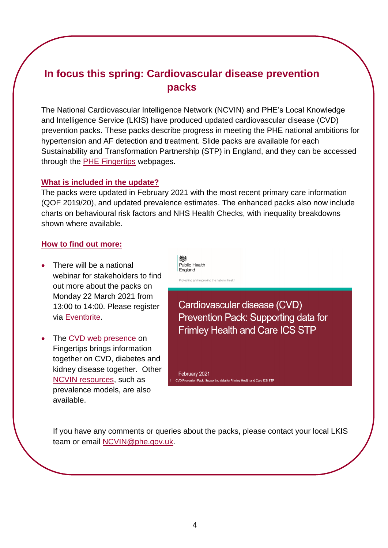# <span id="page-3-0"></span>**In focus this spring: Cardiovascular disease prevention packs**

The National Cardiovascular Intelligence Network (NCVIN) and PHE's Local Knowledge and Intelligence Service (LKIS) have produced updated cardiovascular disease (CVD) prevention packs. These packs describe progress in meeting the PHE national ambitions for hypertension and AF detection and treatment. Slide packs are available for each Sustainability and Transformation Partnership (STP) in England, and they can be accessed through the [PHE Fingertips](https://fingertips.phe.org.uk/profile/cardiovascular-disease-prevention) webpages.

### **What is included in the update?**

The packs were updated in February 2021 with the most recent primary care information (QOF 2019/20), and updated prevalence estimates. The enhanced packs also now include charts on behavioural risk factors and NHS Health Checks, with inequality breakdowns shown where available.

### **How to find out more:**

- There will be a national webinar for stakeholders to find out more about the packs on Monday 22 March 2021 from 13:00 to 14:00. Please register via [Eventbrite.](https://www.eventbrite.co.uk/e/cvd-prevention-packs-update-registration-144181176781)
- The [CVD web presence](https://fingertips.phe.org.uk/profile-group/cardiovascular-disease-diabetes-kidney-disease/profile/cardiovascular) on Fingertips brings information together on CVD, diabetes and kidney disease together. Other [NCVIN resources,](https://www.gov.uk/guidance/cardiovascular-disease-data-and-analysis-a-guide-for-health-professionals) such as prevalence models, are also available.

Public Health England

Protecting and improving the nation's healt

Cardiovascular disease (CVD) Prevention Pack: Supporting data for **Frimley Health and Care ICS STP** 

February 2021 CVD Prevention Pack: Supporting data for Frimley Health and Care ICS STP

If you have any comments or queries about the packs, please contact your local LKIS team or email [NCVIN@phe.gov.uk.](mailto:NCVIN@phe.gov.uk)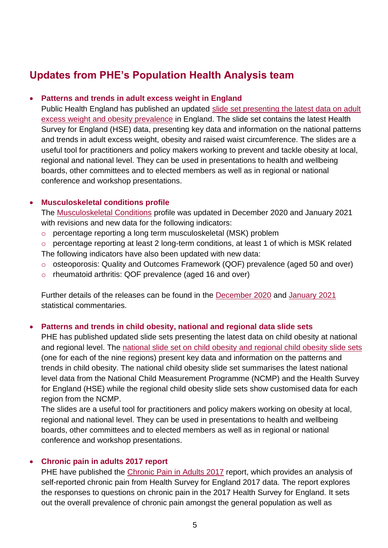# <span id="page-4-0"></span>**Updates from PHE's Population Health Analysis team**

### • **Patterns and trends in adult excess weight in England**

Public Health England has published an updated [slide set presenting the latest data on adult](https://eur01.safelinks.protection.outlook.com/?url=https%3A%2F%2Fwww.gov.uk%2Fgovernment%2Fpublications%2Fadult-excess-weight-patterns-and-trends&data=04%7C01%7CMaggie.Graham%40phe.gov.uk%7C6b2aa42b008c413cd93008d8b7bae535%7Cee4e14994a354b2ead475f3cf9de8666%7C0%7C0%7C637461360615686222%7CUnknown%7CTWFpbGZsb3d8eyJWIjoiMC4wLjAwMDAiLCJQIjoiV2luMzIiLCJBTiI6Ik1haWwiLCJXVCI6Mn0%3D%7C1000&sdata=jwKyz9NoWDviBgjuw%2FlKwRIPT6b%2B3Rqs7LEAUtu7yyo%3D&reserved=0)  [excess weight and obesity prevalence](https://eur01.safelinks.protection.outlook.com/?url=https%3A%2F%2Fwww.gov.uk%2Fgovernment%2Fpublications%2Fadult-excess-weight-patterns-and-trends&data=04%7C01%7CMaggie.Graham%40phe.gov.uk%7C6b2aa42b008c413cd93008d8b7bae535%7Cee4e14994a354b2ead475f3cf9de8666%7C0%7C0%7C637461360615686222%7CUnknown%7CTWFpbGZsb3d8eyJWIjoiMC4wLjAwMDAiLCJQIjoiV2luMzIiLCJBTiI6Ik1haWwiLCJXVCI6Mn0%3D%7C1000&sdata=jwKyz9NoWDviBgjuw%2FlKwRIPT6b%2B3Rqs7LEAUtu7yyo%3D&reserved=0) in England. The slide set contains the latest Health Survey for England (HSE) data, presenting key data and information on the national patterns and trends in adult excess weight, obesity and raised waist circumference. The slides are a useful tool for practitioners and policy makers working to prevent and tackle obesity at local, regional and national level. They can be used in presentations to health and wellbeing boards, other committees and to elected members as well as in regional or national conference and workshop presentations.

### • **Musculoskeletal conditions profile**

The [Musculoskeletal Conditions](https://fingertips.phe.org.uk/profile/msk) profile was updated in December 2020 and January 2021 with revisions and new data for the following indicators:

- o percentage reporting a long term musculoskeletal (MSK) problem
- o percentage reporting at least 2 long-term conditions, at least 1 of which is MSK related The following indicators have also been updated with new data:
- o osteoporosis: Quality and Outcomes Framework (QOF) prevalence (aged 50 and over)
- o rheumatoid arthritis: QOF prevalence (aged 16 and over)

Further details of the releases can be found in the [December 2020](https://eur01.safelinks.protection.outlook.com/?url=https%3A%2F%2Fwww.gov.uk%2Fgovernment%2Fpublications%2Fmusculoskeletal-conditions-profile-december-2020-update%2Fmusculoskeletal-conditions-profile-short-commentary-december-2020&data=04%7C01%7CMaggie.Graham%40phe.gov.uk%7C5df7e6627ac44671bc8208d8c9c53fec%7Cee4e14994a354b2ead475f3cf9de8666%7C0%7C0%7C637481196311288992%7CUnknown%7CTWFpbGZsb3d8eyJWIjoiMC4wLjAwMDAiLCJQIjoiV2luMzIiLCJBTiI6Ik1haWwiLCJXVCI6Mn0%3D%7C1000&sdata=KlLnjGsXXEXyWkHkjSzMCpiA5FnYFsJ%2FJavvYUMBg84%3D&reserved=0) and [January 2021](https://eur01.safelinks.protection.outlook.com/?url=https%3A%2F%2Fwww.gov.uk%2Fgovernment%2Fpublications%2Fmusculoskeletal-conditions-profile-january-2021-update%2Fmusculoskeletal-conditions-profile-short-commentary-january-2021&data=04%7C01%7CMaggie.Graham%40phe.gov.uk%7C5df7e6627ac44671bc8208d8c9c53fec%7Cee4e14994a354b2ead475f3cf9de8666%7C0%7C0%7C637481196311288992%7CUnknown%7CTWFpbGZsb3d8eyJWIjoiMC4wLjAwMDAiLCJQIjoiV2luMzIiLCJBTiI6Ik1haWwiLCJXVCI6Mn0%3D%7C1000&sdata=1WfaW0Dpdbjht3A%2Bf7avgC2yvAaV3bdZUA9ULNV8Z0I%3D&reserved=0) statistical commentaries.

### • **Patterns and trends in child obesity, national and regional data slide sets**

PHE has published updated slide sets presenting the latest data on child obesity at national and regional level. The [national slide set on child obesity and](https://eur01.safelinks.protection.outlook.com/?url=https%3A%2F%2Fwww.gov.uk%2Fgovernment%2Fpublications%2Fchild-obesity-patterns-and-trends%2Fpatterns-and-trends-in-child-obesity-national-and-regional-data&data=04%7C01%7CMaggie.Graham%40phe.gov.uk%7C46c1f714c17d4e0cb3e908d8c9dba2d7%7Cee4e14994a354b2ead475f3cf9de8666%7C0%7C0%7C637481292449661228%7CUnknown%7CTWFpbGZsb3d8eyJWIjoiMC4wLjAwMDAiLCJQIjoiV2luMzIiLCJBTiI6Ik1haWwiLCJXVCI6Mn0%3D%7C1000&sdata=%2BH1mAlhTWnAguMWosaqhI4nlhezORPE5ngjqbTnTrx8%3D&reserved=0) regional child obesity slide sets (one for each of the nine regions) present key data and information on the patterns and trends in child obesity. The national child obesity slide set summarises the latest national level data from the National Child Measurement Programme (NCMP) and the Health Survey for England (HSE) while the regional child obesity slide sets show customised data for each region from the NCMP.

The slides are a useful tool for practitioners and policy makers working on obesity at local, regional and national level. They can be used in presentations to health and wellbeing boards, other committees and to elected members as well as in regional or national conference and workshop presentations.

### • **Chronic pain in adults 2017 report**

PHE have published the [Chronic Pain in Adults 2017](https://eur01.safelinks.protection.outlook.com/?url=https%3A%2F%2Fwww.gov.uk%2Fgovernment%2Fpublications%2Fchronic-pain-in-adults-2017&data=04%7C01%7CMaggie.Graham%40phe.gov.uk%7C441c2c62800846d9dbee08d8c9ef9c0a%7Cee4e14994a354b2ead475f3cf9de8666%7C0%7C0%7C637481378231118520%7CUnknown%7CTWFpbGZsb3d8eyJWIjoiMC4wLjAwMDAiLCJQIjoiV2luMzIiLCJBTiI6Ik1haWwiLCJXVCI6Mn0%3D%7C1000&sdata=fKQlOx4wbNBX6bykNE4Ow6dzKeaWcJIcrABw43WFSDM%3D&reserved=0) report, which provides an analysis of self-reported chronic pain from Health Survey for England 2017 data. The report explores the responses to questions on chronic pain in the 2017 Health Survey for England. It sets out the overall prevalence of chronic pain amongst the general population as well as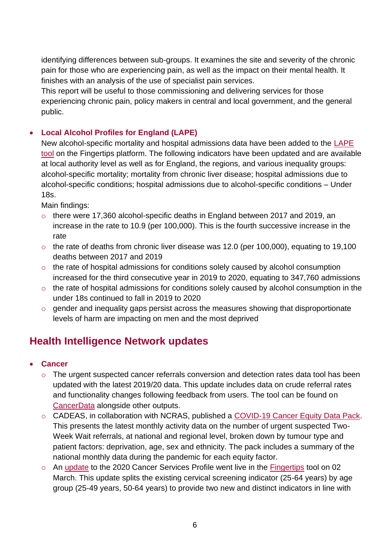identifying differences between sub-groups. It examines the site and severity of the chronic pain for those who are experiencing pain, as well as the impact on their mental health. It finishes with an analysis of the use of specialist pain services.

This report will be useful to those commissioning and delivering services for those experiencing chronic pain, policy makers in central and local government, and the general public.

# • **Local Alcohol Profiles for England (LAPE)**

New alcohol-specific mortality and hospital admissions data have been added to the [LAPE](https://fingertips.phe.org.uk/profile/local-alcohol-profiles)  [tool](https://fingertips.phe.org.uk/profile/local-alcohol-profiles) on the Fingertips platform. The following indicators have been updated and are available at local authority level as well as for England, the regions, and various inequality groups: alcohol-specific mortality; mortality from chronic liver disease; hospital admissions due to alcohol-specific conditions; hospital admissions due to alcohol-specific conditions – Under 18s.

Main findings:

- o there were 17,360 alcohol-specific deaths in England between 2017 and 2019, an increase in the rate to 10.9 (per 100,000). This is the fourth successive increase in the rate
- $\circ$  the rate of deaths from chronic liver disease was 12.0 (per 100,000), equating to 19,100 deaths between 2017 and 2019
- o the rate of hospital admissions for conditions solely caused by alcohol consumption increased for the third consecutive year in 2019 to 2020, equating to 347,760 admissions
- o the rate of hospital admissions for conditions solely caused by alcohol consumption in the under 18s continued to fall in 2019 to 2020
- o gender and inequality gaps persist across the measures showing that disproportionate levels of harm are impacting on men and the most deprived

# <span id="page-5-0"></span>**Health Intelligence Network updates**

- **Cancer**
	- o The urgent suspected cancer referrals conversion and detection rates data tool has been updated with the latest 2019/20 data. This update includes data on crude referral rates and functionality changes following feedback from users. The tool can be found on [CancerData](https://eur01.safelinks.protection.outlook.com/?url=https%3A%2F%2Fwww.cancerdata.nhs.uk%2F&data=04%7C01%7CCeri.Wyborn%40phe.gov.uk%7C7fa4b4ba77124a4b1c2e08d8b1690055%7Cee4e14994a354b2ead475f3cf9de8666%7C0%7C0%7C637454411813457293%7CUnknown%7CTWFpbGZsb3d8eyJWIjoiMC4wLjAwMDAiLCJQIjoiV2luMzIiLCJBTiI6Ik1haWwiLCJXVCI6Mn0%3D%7C1000&sdata=t3FAqOtzYcaSeCW7ZS2y23Pc3vi1Qr4ikTgmP5WBRFo%3D&reserved=0) alongside other outputs.
	- o CADEAS, in collaboration with NCRAS, published a [COVID-19 Cancer Equity Data Pack.](https://eur01.safelinks.protection.outlook.com/?url=http%3A%2F%2Fncin.org.uk%2Flocal_cancer_intelligence%2Fcadeas&data=04%7C01%7CCeri.Wyborn%40phe.gov.uk%7C7fa4b4ba77124a4b1c2e08d8b1690055%7Cee4e14994a354b2ead475f3cf9de8666%7C0%7C0%7C637454411813467250%7CUnknown%7CTWFpbGZsb3d8eyJWIjoiMC4wLjAwMDAiLCJQIjoiV2luMzIiLCJBTiI6Ik1haWwiLCJXVCI6Mn0%3D%7C1000&sdata=PtMBZmeD74P7SGpJ%2BDdwgrmSoomWTIv7QMMCLtDy97k%3D&reserved=0) This presents the latest monthly activity data on the number of urgent suspected Two-Week Wait referrals, at national and regional level, broken down by tumour type and patient factors: deprivation, age, sex and ethnicity. The pack includes a summary of the national monthly data during the pandemic for each equity factor.
	- o An [update](https://eur01.safelinks.protection.outlook.com/?url=https%3A%2F%2Fwww.gov.uk%2Fgovernment%2Fstatistics%2Fcancer-services-profiles-2020-update&data=04%7C01%7CTessa.Lloyd%40phe.gov.uk%7C60a2ecd6896a42e6e08908d8e2400165%7Cee4e14994a354b2ead475f3cf9de8666%7C0%7C0%7C637508111812985678%7CUnknown%7CTWFpbGZsb3d8eyJWIjoiMC4wLjAwMDAiLCJQIjoiV2luMzIiLCJBTiI6Ik1haWwiLCJXVCI6Mn0%3D%7C1000&sdata=lA9lfX57NehiAY4S1OCzy%2BoYXB%2BqImwGoMU7seakTP8%3D&reserved=0) to the 2020 Cancer Services Profile went live in the [Fingertips](https://fingertips.phe.org.uk/profile/cancerservices) tool on 02 March. This update splits the existing cervical screening indicator (25-64 years) by age group (25-49 years, 50-64 years) to provide two new and distinct indicators in line with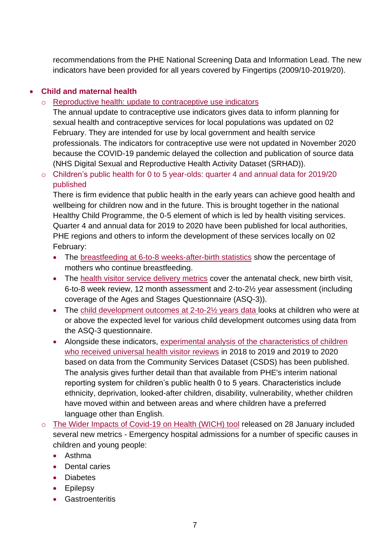recommendations from the PHE National Screening Data and Information Lead. The new indicators have been provided for all years covered by Fingertips (2009/10-2019/20).

# • **Child and maternal health**

o [Reproductive health: update to contraceptive use indicators](https://eur01.safelinks.protection.outlook.com/?url=https%3A%2F%2Fwww.gov.uk%2Fgovernment%2Fstatistics%2Fannouncements%2Freproductive-health-update&data=04%7C01%7CCeri.Wyborn%40phe.gov.uk%7Cf20c0b81a6e04fc7c16e08d8c75b3f52%7Cee4e14994a354b2ead475f3cf9de8666%7C0%7C0%7C637478541998662958%7CUnknown%7CTWFpbGZsb3d8eyJWIjoiMC4wLjAwMDAiLCJQIjoiV2luMzIiLCJBTiI6Ik1haWwiLCJXVCI6Mn0%3D%7C1000&sdata=nkznqwZeaxlS%2Feg0HIYMHVheiHYnhTOAiuLxDo%2FPDtk%3D&reserved=0)

The annual update to contraceptive use indicators gives data to inform planning for sexual health and contraceptive services for local populations was updated on 02 February. They are intended for use by local government and health service professionals. The indicators for contraceptive use were not updated in November 2020 because the COVID-19 pandemic delayed the collection and publication of source data (NHS Digital Sexual and Reproductive Health Activity Dataset (SRHAD)).

o Children's public health for 0 to 5 year-olds: quarter 4 and annual data for 2019/20 published

There is firm evidence that public health in the early years can achieve good health and wellbeing for children now and in the future. This is brought together in the national Healthy Child Programme, the 0-5 element of which is led by health visiting services. Quarter 4 and annual data for 2019 to 2020 have been published for local authorities, PHE regions and others to inform the development of these services locally on 02 February:

- The [breastfeeding at 6-to-8 weeks-after-birth statistics](https://eur01.safelinks.protection.outlook.com/?url=http%3A%2F%2Fwww.gov.uk%2Fgovernment%2Fcollections%2Fbreastfeeding-statistics&data=04%7C01%7CCeri.Wyborn%40phe.gov.uk%7Cf20c0b81a6e04fc7c16e08d8c75b3f52%7Cee4e14994a354b2ead475f3cf9de8666%7C0%7C0%7C637478541998662958%7CUnknown%7CTWFpbGZsb3d8eyJWIjoiMC4wLjAwMDAiLCJQIjoiV2luMzIiLCJBTiI6Ik1haWwiLCJXVCI6Mn0%3D%7C1000&sdata=%2FEBn3TmztA8mn%2BqZbSJXr0x960fSHnxVGJKk9ZLjDeU%3D&reserved=0) show the percentage of mothers who continue breastfeeding.
- The [health visitor service delivery metrics](https://eur01.safelinks.protection.outlook.com/?url=https%3A%2F%2Fwww.gov.uk%2Fgovernment%2Fcollections%2Fchild-and-maternal-health-statistics%23health-visitor-service-delivery-metrics&data=04%7C01%7CCeri.Wyborn%40phe.gov.uk%7Cf20c0b81a6e04fc7c16e08d8c75b3f52%7Cee4e14994a354b2ead475f3cf9de8666%7C0%7C0%7C637478541998672915%7CUnknown%7CTWFpbGZsb3d8eyJWIjoiMC4wLjAwMDAiLCJQIjoiV2luMzIiLCJBTiI6Ik1haWwiLCJXVCI6Mn0%3D%7C1000&sdata=%2F4GrgLzOyHhXMFx3DmkYv0veUD2TnrlVTs%2BRY87FRH0%3D&reserved=0) cover the antenatal check, new birth visit, 6-to-8 week review, 12 month assessment and 2-to-2½ year assessment (including coverage of the Ages and Stages Questionnaire (ASQ-3)).
- The child development outcomes at 2-to-2<sup>1/2</sup> years data looks at children who were at or above the expected level for various child development outcomes using data from the ASQ-3 questionnaire.
- Alongside these indicators, [experimental analysis of the characteristics of children](https://eur01.safelinks.protection.outlook.com/?url=http%3A%2F%2Fwww.gov.uk%2Fgovernment%2Fcollections%2Fchild-and-maternal-health-statistics&data=04%7C01%7CCeri.Wyborn%40phe.gov.uk%7Cf20c0b81a6e04fc7c16e08d8c75b3f52%7Cee4e14994a354b2ead475f3cf9de8666%7C0%7C0%7C637478541998682872%7CUnknown%7CTWFpbGZsb3d8eyJWIjoiMC4wLjAwMDAiLCJQIjoiV2luMzIiLCJBTiI6Ik1haWwiLCJXVCI6Mn0%3D%7C1000&sdata=QPlR816p%2BIMwZPlQUMBWtOAzxTkpTBYTmTUZg8l0BWI%3D&reserved=0)  [who received universal health visitor reviews](https://eur01.safelinks.protection.outlook.com/?url=http%3A%2F%2Fwww.gov.uk%2Fgovernment%2Fcollections%2Fchild-and-maternal-health-statistics&data=04%7C01%7CCeri.Wyborn%40phe.gov.uk%7Cf20c0b81a6e04fc7c16e08d8c75b3f52%7Cee4e14994a354b2ead475f3cf9de8666%7C0%7C0%7C637478541998682872%7CUnknown%7CTWFpbGZsb3d8eyJWIjoiMC4wLjAwMDAiLCJQIjoiV2luMzIiLCJBTiI6Ik1haWwiLCJXVCI6Mn0%3D%7C1000&sdata=QPlR816p%2BIMwZPlQUMBWtOAzxTkpTBYTmTUZg8l0BWI%3D&reserved=0) in 2018 to 2019 and 2019 to 2020 based on data from the Community Services Dataset (CSDS) has been published. The analysis gives further detail than that available from PHE's interim national reporting system for children's public health 0 to 5 years. Characteristics include ethnicity, deprivation, looked-after children, disability, vulnerability, whether children have moved within and between areas and where children have a preferred language other than English.
- o [The Wider Impacts of Covid-19 on Health \(WICH\) tool](https://analytics.phe.gov.uk/apps/covid-19-indirect-effects/) released on 28 January included several new metrics - Emergency hospital admissions for a number of specific causes in children and young people:
	- Asthma
	- Dental caries
	- Diabetes
	- Epilepsy
	- Gastroenteritis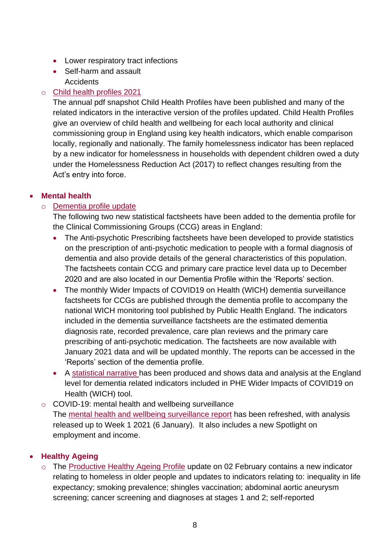- Lower respiratory tract infections
- Self-harm and assault **Accidents**

### o [Child health profiles 2021](https://fingertips.phe.org.uk/profile/child-health-profiles)

The annual pdf snapshot Child Health Profiles have been published and many of the related indicators in the interactive version of the profiles updated. Child Health Profiles give an overview of child health and wellbeing for each local authority and clinical commissioning group in England using key health indicators, which enable comparison locally, regionally and nationally. The family homelessness indicator has been replaced by a new indicator for homelessness in households with dependent children owed a duty under the Homelessness Reduction Act (2017) to reflect changes resulting from the Act's entry into force.

### • **Mental health**

### o Dementia [profile update](https://fingertips.phe.org.uk/profile-group/mental-health/profile/dementia)

The following two new statistical factsheets have been added to the dementia profile for the Clinical Commissioning Groups (CCG) areas in England:

- The Anti-psychotic Prescribing factsheets have been developed to provide statistics on the prescription of anti-psychotic medication to people with a formal diagnosis of dementia and also provide details of the general characteristics of this population. The factsheets contain CCG and primary care practice level data up to December 2020 and are also located in our Dementia Profile within the 'Reports' section.
- The monthly Wider Impacts of COVID19 on Health (WICH) dementia surveillance factsheets for CCGs are published through the dementia profile to accompany the national WICH monitoring tool published by Public Health England. The indicators included in the dementia surveillance factsheets are the estimated dementia diagnosis rate, recorded prevalence, care plan reviews and the primary care prescribing of anti-psychotic medication. The factsheets are now available with January 2021 data and will be updated monthly. The reports can be accessed in the 'Reports' section of the dementia profile.
- A [statistical narrative](https://www.gov.uk/government/statistics/dementia-profile-march-2021-update/statistical-commentary-dementia-profile-march-2021-update) has been produced and shows data and analysis at the England level for dementia related indicators included in PHE Wider Impacts of COVID19 on Health (WICH) tool.
- o COVID-19: mental health and wellbeing surveillance The [mental health and wellbeing surveillance report](https://eur01.safelinks.protection.outlook.com/?url=https%3A%2F%2Fwww.gov.uk%2Fgovernment%2Fpublications%2Fcovid-19-mental-health-and-wellbeing-surveillance-report&data=04%7C01%7CTessa.Lloyd%40phe.gov.uk%7C70881692990846df7a7908d8e22bc3fe%7Cee4e14994a354b2ead475f3cf9de8666%7C0%7C0%7C637508024877679502%7CUnknown%7CTWFpbGZsb3d8eyJWIjoiMC4wLjAwMDAiLCJQIjoiV2luMzIiLCJBTiI6Ik1haWwiLCJXVCI6Mn0%3D%7C1000&sdata=CbW2F3o2qjcWas2GJ0V9B0142OT0lg6xFsrd9N6HVus%3D&reserved=0) has been refreshed, with analysis released up to Week 1 2021 (6 January). It also includes a new Spotlight on employment and income.

# • **Healthy Ageing**

o The [Productive Healthy Ageing Profile](https://fingertips.phe.org.uk/profile/healthy-ageing) update on 02 February contains a new indicator relating to homeless in older people and updates to indicators relating to: inequality in life expectancy; smoking prevalence; shingles vaccination; abdominal aortic aneurysm screening; cancer screening and diagnoses at stages 1 and 2; self-reported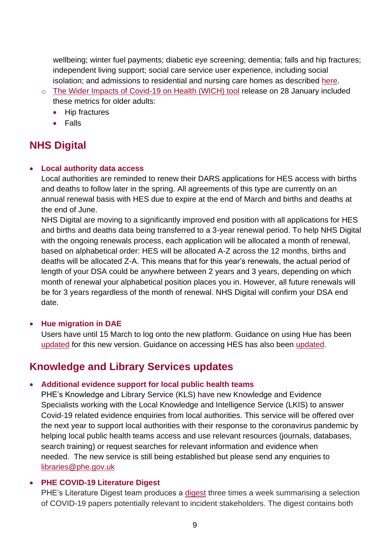wellbeing; winter fuel payments; diabetic eye screening; dementia; falls and hip fractures; independent living support; social care service user experience, including social isolation; and admissions to residential and nursing care homes as described [here.](https://fingertips.phe.org.uk/documents/PHA_Profile_update_2Feb2021.pdf)

- o [The Wider Impacts of Covid-19 on Health \(WICH\) tool](https://analytics.phe.gov.uk/apps/covid-19-indirect-effects/) release on 28 January included these metrics for older adults:
	- Hip fractures
	- Falls

# <span id="page-8-0"></span>**NHS Digital**

### • **Local authority data access**

Local authorities are reminded to renew their DARS applications for HES access with births and deaths to follow later in the spring. All agreements of this type are currently on an annual renewal basis with HES due to expire at the end of March and births and deaths at the end of June.

NHS Digital are moving to a significantly improved end position with all applications for HES and births and deaths data being transferred to a 3-year renewal period. To help NHS Digital with the ongoing renewals process, each application will be allocated a month of renewal, based on alphabetical order: HES will be allocated A-Z across the 12 months, births and deaths will be allocated Z-A. This means that for this year's renewals, the actual period of length of your DSA could be anywhere between 2 years and 3 years, depending on which month of renewal your alphabetical position places you in. However, all future renewals will be for 3 years regardless of the month of renewal. NHS Digital will confirm your DSA end date.

# • **Hue migration in DAE**

Users have until 15 March to log onto the new platform. Guidance on using Hue has been [updated](https://digital.nhs.uk/services/data-access-environment-dae/user-guides/using-hue-in-the-data-access-environment) for this new version. Guidance on accessing HES has also been [updated.](https://digital.nhs.uk/services/data-access-environment-dae/accessing-hes-with-dae)

# <span id="page-8-1"></span>**Knowledge and Library Services updates**

### • **Additional evidence support for local public health teams**

PHE's Knowledge and Library Service (KLS) have new Knowledge and Evidence Specialists working with the Local Knowledge and Intelligence Service (LKIS) to answer Covid-19 related evidence enquiries from local authorities. This service will be offered over the next year to support local authorities with their response to the coronavirus pandemic by helping local public health teams access and use relevant resources (journals, databases, search training) or request searches for relevant information and evidence when needed. The new service is still being established but please send any enquiries to [libraries@phe.gov.uk](mailto:libraries@phe.gov.uk)

### • **PHE COVID-19 Literature Digest**

PHE's Literature Digest team produces a [digest](https://phelibrary.koha-ptfs.co.uk/coronavirusinformation/#DailyEvidenceDigest) three times a week summarising a selection of COVID-19 papers potentially relevant to incident stakeholders. The digest contains both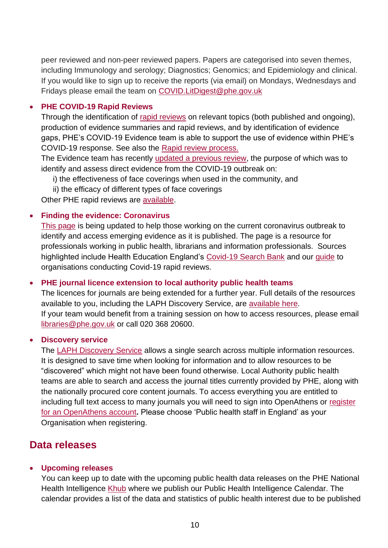peer reviewed and non-peer reviewed papers. Papers are categorised into seven themes, including Immunology and serology; Diagnostics; Genomics; and Epidemiology and clinical. If you would like to sign up to receive the reports (via email) on Mondays, Wednesdays and Fridays please email the team on [COVID.LitDigest@phe.gov.uk](mailto:COVID.LitDigest@phe.gov.uk)

### • **PHE COVID-19 Rapid Reviews**

Through the identification of [rapid reviews](https://phelibrary.koha-ptfs.co.uk/covid19rapidreviews/) on relevant topics (both published and ongoing), production of evidence summaries and rapid reviews, and by identification of evidence gaps, PHE's COVID-19 Evidence team is able to support the use of evidence within PHE's COVID-19 response. See also the [Rapid review process.](https://phelibrary.koha-ptfs.co.uk/covid19rapidreviews/#Rapid)

The Evidence team has recently [updated a previous review,](https://phe.koha-ptfs.co.uk/cgi-bin/koha/opac-retrieve-file.pl?id=d86880bf65bd6b18eae21aa3bdaf2a4b) the purpose of which was to identify and assess direct evidence from the COVID-19 outbreak on:

- i) the effectiveness of face coverings when used in the community, and
- ii) the efficacy of different types of face coverings

Other PHE rapid reviews are **available**.

### • **Finding the evidence: Coronavirus**

[This page](https://phelibrary.koha-ptfs.co.uk/coronavirusinformation/) is being updated to help those working on the current coronavirus outbreak to identify and access emerging evidence as it is published. The page is a resource for professionals working in public health, librarians and information professionals. Sources highlighted include Health Education England's [Covid-19 Search Bank](https://kfh.libraryservices.nhs.uk/covid-19-coronavirus/for-lks-staff/literature-searches/) and our [guide](https://phe.koha-ptfs.co.uk/cgi-bin/koha/opac-detail.pl?biblionumber=62554) to organisations conducting Covid-19 rapid reviews.

### • **PHE journal licence extension to local authority public health teams**

The licences for journals are being extended for a further year. Full details of the resources available to you, including the LAPH Discovery Service, are [available here.](https://phelibrary.koha-ptfs.co.uk/laphresources/) If your team would benefit from a training session on how to access resources, please email [libraries@phe.gov.uk](mailto:libraries@phe.gov.uk?subject=LAPH%20training) or call 020 368 20600.

### • **Discovery service**

The [LAPH Discovery Service](http://search.ebscohost.com/login.aspx?authtype=athens&profile=eds&groupid=main) allows a single search across multiple information resources. It is designed to save time when looking for information and to allow resources to be "discovered" which might not have been found otherwise. Local Authority public health teams are able to search and access the journal titles currently provided by PHE, along with the nationally procured core content journals. To access everything you are entitled to including full text access to many journals you will need to sign into OpenAthens or [register](https://phelibrary.koha-ptfs.co.uk/openathens/)  [for an OpenAthens account](https://phelibrary.koha-ptfs.co.uk/openathens/)**.** Please choose 'Public health staff in England' as your Organisation when registering.

# <span id="page-9-0"></span>**Data releases**

### • **Upcoming releases**

You can keep up to date with the upcoming public health data releases on the PHE National Health Intelligence [Khub](https://khub.net/group/phe-local-knowledge-and-intelligence-services/group-library/-/document_library/Sz8Ah1O1ukgg/view/160843596) where we publish our Public Health Intelligence Calendar. The calendar provides a list of the data and statistics of public health interest due to be published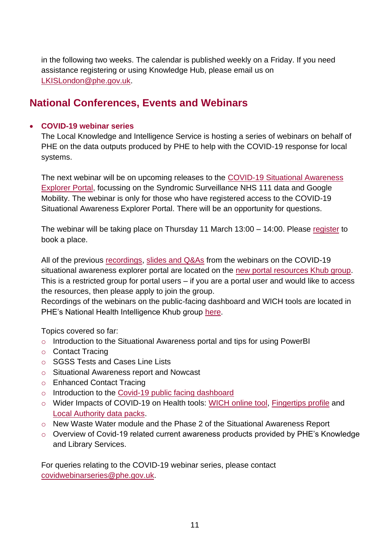in the following two weeks. The calendar is published weekly on a Friday. If you need assistance registering or using Knowledge Hub, please email us on [LKISLondon@phe.gov.uk.](mailto:LKISLondon@phe.gov.uk)

# <span id="page-10-0"></span>**National Conferences, Events and Webinars**

### • **COVID-19 webinar series**

The Local Knowledge and Intelligence Service is hosting a series of webinars on behalf of PHE on the data outputs produced by PHE to help with the COVID-19 response for local systems.

The next webinar will be on upcoming releases to the [COVID-19 Situational Awareness](https://eur01.safelinks.protection.outlook.com/?url=https%3A%2F%2Fapp.powerbi.com%2FRedirect%3Faction%3DOpenApp%26appId%3D0f1212de-66e1-40fa-870e-8d2a61283f8c%26ctid%3Dee4e1499-4a35-4b2e-ad47-5f3cf9de8666&data=04%7C01%7CGwen.Doran%40phe.gov.uk%7Cb6059f4ed44c43cb0ea608d8dfe73651%7Cee4e14994a354b2ead475f3cf9de8666%7C0%7C0%7C637505531421595459%7CUnknown%7CTWFpbGZsb3d8eyJWIjoiMC4wLjAwMDAiLCJQIjoiV2luMzIiLCJBTiI6Ik1haWwiLCJXVCI6Mn0%3D%7C1000&sdata=nmmTANzE09Xl1gNNBi0prCm2tjNiqKGlWTwlCiyfDeU%3D&reserved=0)  [Explorer Portal,](https://eur01.safelinks.protection.outlook.com/?url=https%3A%2F%2Fapp.powerbi.com%2FRedirect%3Faction%3DOpenApp%26appId%3D0f1212de-66e1-40fa-870e-8d2a61283f8c%26ctid%3Dee4e1499-4a35-4b2e-ad47-5f3cf9de8666&data=04%7C01%7CGwen.Doran%40phe.gov.uk%7Cb6059f4ed44c43cb0ea608d8dfe73651%7Cee4e14994a354b2ead475f3cf9de8666%7C0%7C0%7C637505531421595459%7CUnknown%7CTWFpbGZsb3d8eyJWIjoiMC4wLjAwMDAiLCJQIjoiV2luMzIiLCJBTiI6Ik1haWwiLCJXVCI6Mn0%3D%7C1000&sdata=nmmTANzE09Xl1gNNBi0prCm2tjNiqKGlWTwlCiyfDeU%3D&reserved=0) focussing on the Syndromic Surveillance NHS 111 data and Google Mobility. The webinar is only for those who have registered access to the COVID-19 Situational Awareness Explorer Portal. There will be an opportunity for questions.

The webinar will be taking place on Thursday 11 March 13:00 – 14:00. Please [register](https://eur01.safelinks.protection.outlook.com/?url=https%3A%2F%2Fwww.eventbrite.co.uk%2Fe%2Fwebinar-on-syndromic-surveillance-nhs-111-data-and-google-mobility-tickets-144031150047&data=04%7C01%7CGwen.Doran%40phe.gov.uk%7Cb6059f4ed44c43cb0ea608d8dfe73651%7Cee4e14994a354b2ead475f3cf9de8666%7C0%7C0%7C637505531421605419%7CUnknown%7CTWFpbGZsb3d8eyJWIjoiMC4wLjAwMDAiLCJQIjoiV2luMzIiLCJBTiI6Ik1haWwiLCJXVCI6Mn0%3D%7C1000&sdata=gIMSLW5EDjjYRlS2UJ0Hm8NkB2L0jE8yDyiFXPqtvX8%3D&reserved=0) to book a place.

All of the previous [recordings,](https://eur01.safelinks.protection.outlook.com/?url=https%3A%2F%2Fkhub.net%2Fgroup%2Fcovid-19-situational-explorer-portal-resources%2Fgroup-wiki&data=04%7C01%7CGwen.Doran%40phe.gov.uk%7C45e7711c687d4cf7201208d8d4c2ad72%7Cee4e14994a354b2ead475f3cf9de8666%7C0%7C0%7C637493279880143173%7CUnknown%7CTWFpbGZsb3d8eyJWIjoiMC4wLjAwMDAiLCJQIjoiV2luMzIiLCJBTiI6Ik1haWwiLCJXVCI6Mn0%3D%7C1000&sdata=xkt7ht0SJQ8853fZIi896YZk8Q35U4bjsHNU5%2Fsj%2Bao%3D&reserved=0) [slides and Q&As](https://eur01.safelinks.protection.outlook.com/?url=https%3A%2F%2Fkhub.net%2Fgroup%2Fcovid-19-situational-explorer-portal-resources%2Fgroup-library&data=04%7C01%7CGwen.Doran%40phe.gov.uk%7C45e7711c687d4cf7201208d8d4c2ad72%7Cee4e14994a354b2ead475f3cf9de8666%7C0%7C0%7C637493279880143173%7CUnknown%7CTWFpbGZsb3d8eyJWIjoiMC4wLjAwMDAiLCJQIjoiV2luMzIiLCJBTiI6Ik1haWwiLCJXVCI6Mn0%3D%7C1000&sdata=4CF7tM8kVntD%2FIvaJVrEDpqqJjNtoG0woSJ%2Br14Algc%3D&reserved=0) from the webinars on the COVID-19 situational awareness explorer portal are located on the [new portal resources Khub group.](https://eur01.safelinks.protection.outlook.com/?url=https%3A%2F%2Fkhub.net%2Fgroup%2Fxvfjkdojyt&data=04%7C01%7CGwen.Doran%40phe.gov.uk%7C45e7711c687d4cf7201208d8d4c2ad72%7Cee4e14994a354b2ead475f3cf9de8666%7C0%7C0%7C637493279880153130%7CUnknown%7CTWFpbGZsb3d8eyJWIjoiMC4wLjAwMDAiLCJQIjoiV2luMzIiLCJBTiI6Ik1haWwiLCJXVCI6Mn0%3D%7C1000&sdata=tqCrkYRwvUysDGFf1iM1w6E4tXJBCqIFdf484UjmvuU%3D&reserved=0) This is a restricted group for portal users – if you are a portal user and would like to access the resources, then please apply to join the group.

Recordings of the webinars on the public-facing dashboard and WICH tools are located in PHE's National Health Intelligence Khub group [here.](https://eur01.safelinks.protection.outlook.com/?url=https%3A%2F%2Fkhub.net%2Fgroup%2Fphe-local-knowledge-and-intelligence-services%2Fgroup-library%2F-%2Fdocument_library%2FSz8Ah1O1ukgg%2Fview%2F390571571%3F_com_liferay_document_library_web_portlet_DLPortlet_INSTANCE_Sz8Ah1O1ukgg_redirect%3Dhttps%253A%252F%252Fkhub.net%253A443%252Fgroup%252Fphe-local-knowledge-and-intelligence-services%252Fgroup-library%252F-%252Fdocument_library%252FSz8Ah1O1ukgg%252Fview%252F202970681%253F_com_liferay_document_library_web_portlet_DLPortlet_INSTANCE_Sz8Ah1O1ukgg_redirect%253Dhttps%25253A%25252F%25252Fkhub.net%25253A443%25252Fgroup%25252Fphe-local-knowledge-and-intelligence-services%25252Fgroup-library%25253Fp_p_id%25253Dcom_liferay_document_library_web_portlet_DLPortlet_INSTANCE_Sz8Ah1O1ukgg%252526p_p_lifecycle%25253D0%252526p_p_state%25253Dnormal%252526p_p_mode%25253Dview&data=04%7C01%7CGwen.Doran%40phe.gov.uk%7C45e7711c687d4cf7201208d8d4c2ad72%7Cee4e14994a354b2ead475f3cf9de8666%7C0%7C0%7C637493279880133213%7CUnknown%7CTWFpbGZsb3d8eyJWIjoiMC4wLjAwMDAiLCJQIjoiV2luMzIiLCJBTiI6Ik1haWwiLCJXVCI6Mn0%3D%7C1000&sdata=S5IVBsykKeehrOuPJTZ10FTSw1q%2FHAtscinWmhA7SgE%3D&reserved=0)

Topics covered so far:

- $\circ$  Introduction to the Situational Awareness portal and tips for using PowerBI
- o Contact Tracing
- o SGSS Tests and Cases Line Lists
- o Situational Awareness report and Nowcast
- o Enhanced Contact Tracing
- o Introduction to the [Covid-19 public facing dashboard](https://coronavirus.data.gov.uk/)
- o Wider Impacts of COVID-19 on Health tools: [WICH online tool,](https://analytics.phe.gov.uk/apps/covid-19-indirect-effects/) [Fingertips profile](https://fingertips.phe.org.uk/profile/covid19) and [Local Authority data packs.](https://eur01.safelinks.protection.outlook.com/?url=https%3A%2F%2Fapp.powerbi.com%2Fview%3Fr%3DeyJrIjoiZmFjNmVkNmItOWYzOS00MDU5LTk1YjgtMDUyYWQ3Mzg3NTQ5IiwidCI6ImVlNGUxNDk5LTRhMzUtNGIyZS1hZDQ3LTVmM2NmOWRlODY2NiIsImMiOjh9&data=04%7C01%7CIrina.Holland%40phe.gov.uk%7Ca511decfed0e45f499fd08d8be22c801%7Cee4e14994a354b2ead475f3cf9de8666%7C0%7C0%7C637468403884226502%7CUnknown%7CTWFpbGZsb3d8eyJWIjoiMC4wLjAwMDAiLCJQIjoiV2luMzIiLCJBTiI6Ik1haWwiLCJXVCI6Mn0%3D%7C1000&sdata=8oxda9xyd38Dh%2BcAwXuJmef2x7j6hwp6eOtsP194OIQ%3D&reserved=0)
- o New Waste Water module and the Phase 2 of the Situational Awareness Report
- o Overview of Covid-19 related current awareness products provided by PHE's Knowledge and Library Services.

<span id="page-10-1"></span>For queries relating to the COVID-19 webinar series, please contact [covidwebinarseries@phe.gov.uk.](mailto:covidwebinarseries@phe.gov.uk)